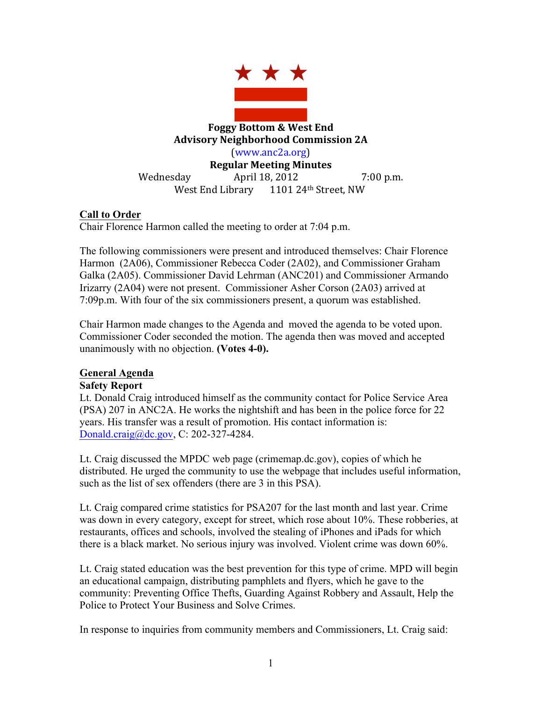

# **Call to Order**

Chair Florence Harmon called the meeting to order at 7:04 p.m.

The following commissioners were present and introduced themselves: Chair Florence Harmon (2A06), Commissioner Rebecca Coder (2A02), and Commissioner Graham Galka (2A05). Commissioner David Lehrman (ANC201) and Commissioner Armando Irizarry (2A04) were not present. Commissioner Asher Corson (2A03) arrived at 7:09p.m. With four of the six commissioners present, a quorum was established.

Chair Harmon made changes to the Agenda and moved the agenda to be voted upon. Commissioner Coder seconded the motion. The agenda then was moved and accepted unanimously with no objection. **(Votes 4-0).**

#### **General Agenda**

#### **Safety Report**

Lt. Donald Craig introduced himself as the community contact for Police Service Area (PSA) 207 in ANC2A. He works the nightshift and has been in the police force for 22 years. His transfer was a result of promotion. His contact information is: Donald.craig@dc.gov, C: 202-327-4284.

Lt. Craig discussed the MPDC web page (crimemap.dc.gov), copies of which he distributed. He urged the community to use the webpage that includes useful information, such as the list of sex offenders (there are 3 in this PSA).

Lt. Craig compared crime statistics for PSA207 for the last month and last year. Crime was down in every category, except for street, which rose about 10%. These robberies, at restaurants, offices and schools, involved the stealing of iPhones and iPads for which there is a black market. No serious injury was involved. Violent crime was down 60%.

Lt. Craig stated education was the best prevention for this type of crime. MPD will begin an educational campaign, distributing pamphlets and flyers, which he gave to the community: Preventing Office Thefts, Guarding Against Robbery and Assault, Help the Police to Protect Your Business and Solve Crimes.

In response to inquiries from community members and Commissioners, Lt. Craig said: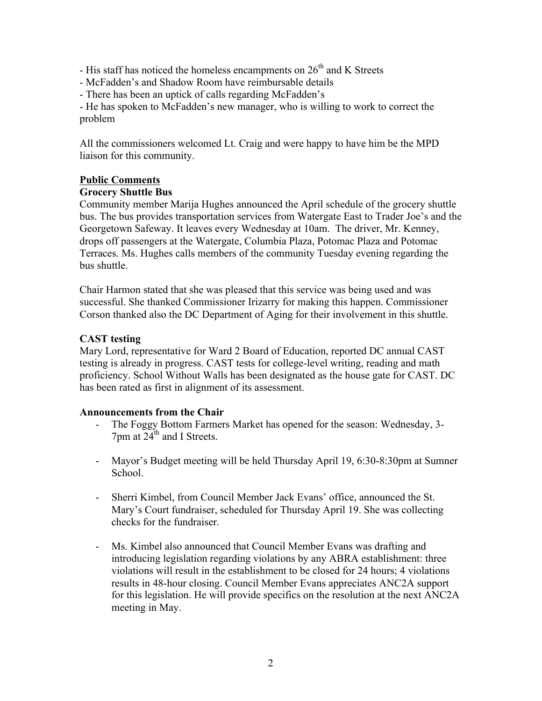- His staff has noticed the homeless encampments on  $26<sup>th</sup>$  and K Streets

- McFadden's and Shadow Room have reimbursable details

- There has been an uptick of calls regarding McFadden's

- He has spoken to McFadden's new manager, who is willing to work to correct the problem

All the commissioners welcomed Lt. Craig and were happy to have him be the MPD liaison for this community.

## **Public Comments**

## **Grocery Shuttle Bus**

Community member Marija Hughes announced the April schedule of the grocery shuttle bus. The bus provides transportation services from Watergate East to Trader Joe's and the Georgetown Safeway. It leaves every Wednesday at 10am. The driver, Mr. Kenney, drops off passengers at the Watergate, Columbia Plaza, Potomac Plaza and Potomac Terraces. Ms. Hughes calls members of the community Tuesday evening regarding the bus shuttle.

Chair Harmon stated that she was pleased that this service was being used and was successful. She thanked Commissioner Irizarry for making this happen. Commissioner Corson thanked also the DC Department of Aging for their involvement in this shuttle.

## **CAST testing**

Mary Lord, representative for Ward 2 Board of Education, reported DC annual CAST testing is already in progress. CAST tests for college-level writing, reading and math proficiency. School Without Walls has been designated as the house gate for CAST. DC has been rated as first in alignment of its assessment.

#### **Announcements from the Chair**

- The Foggy Bottom Farmers Market has opened for the season: Wednesday, 3- $7$ pm at  $24<sup>th</sup>$  and I Streets.
- Mayor's Budget meeting will be held Thursday April 19, 6:30-8:30pm at Sumner School.
- Sherri Kimbel, from Council Member Jack Evans' office, announced the St. Mary's Court fundraiser, scheduled for Thursday April 19. She was collecting checks for the fundraiser.
- Ms. Kimbel also announced that Council Member Evans was drafting and introducing legislation regarding violations by any ABRA establishment: three violations will result in the establishment to be closed for 24 hours; 4 violations results in 48-hour closing. Council Member Evans appreciates ANC2A support for this legislation. He will provide specifics on the resolution at the next ANC2A meeting in May.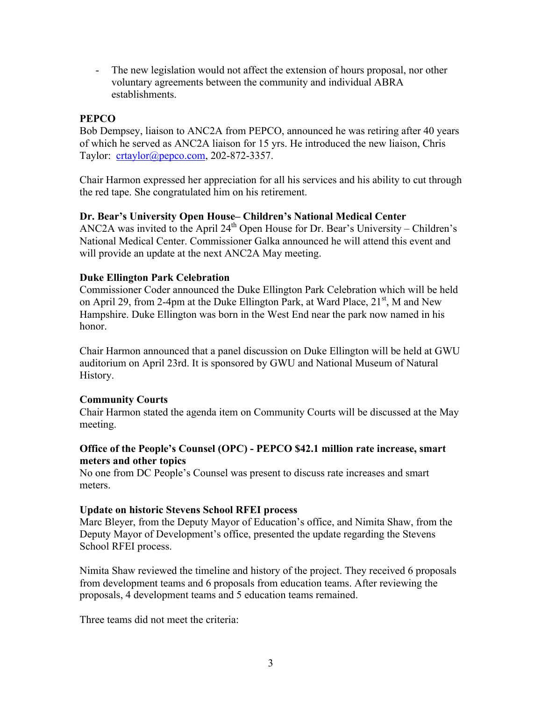- The new legislation would not affect the extension of hours proposal, nor other voluntary agreements between the community and individual ABRA establishments.

## **PEPCO**

Bob Dempsey, liaison to ANC2A from PEPCO, announced he was retiring after 40 years of which he served as ANC2A liaison for 15 yrs. He introduced the new liaison, Chris Taylor: crtaylor@pepco.com, 202-872-3357.

Chair Harmon expressed her appreciation for all his services and his ability to cut through the red tape. She congratulated him on his retirement.

## **Dr. Bear's University Open House– Children's National Medical Center**

ANC2A was invited to the April  $24<sup>th</sup>$  Open House for Dr. Bear's University – Children's National Medical Center. Commissioner Galka announced he will attend this event and will provide an update at the next ANC2A May meeting.

## **Duke Ellington Park Celebration**

Commissioner Coder announced the Duke Ellington Park Celebration which will be held on April 29, from 2-4pm at the Duke Ellington Park, at Ward Place,  $21<sup>st</sup>$ , M and New Hampshire. Duke Ellington was born in the West End near the park now named in his honor.

Chair Harmon announced that a panel discussion on Duke Ellington will be held at GWU auditorium on April 23rd. It is sponsored by GWU and National Museum of Natural History.

## **Community Courts**

Chair Harmon stated the agenda item on Community Courts will be discussed at the May meeting.

## **Office of the People's Counsel (OPC) - PEPCO \$42.1 million rate increase, smart meters and other topics**

No one from DC People's Counsel was present to discuss rate increases and smart meters.

#### **Update on historic Stevens School RFEI process**

Marc Bleyer, from the Deputy Mayor of Education's office, and Nimita Shaw, from the Deputy Mayor of Development's office, presented the update regarding the Stevens School RFEI process.

Nimita Shaw reviewed the timeline and history of the project. They received 6 proposals from development teams and 6 proposals from education teams. After reviewing the proposals, 4 development teams and 5 education teams remained.

Three teams did not meet the criteria: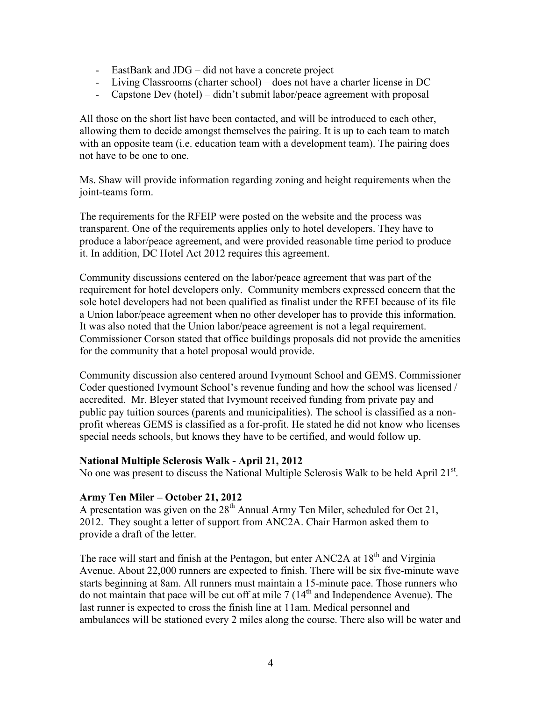- EastBank and JDG did not have a concrete project
- Living Classrooms (charter school) does not have a charter license in DC
- Capstone Dev (hotel) didn't submit labor/peace agreement with proposal

All those on the short list have been contacted, and will be introduced to each other, allowing them to decide amongst themselves the pairing. It is up to each team to match with an opposite team (i.e. education team with a development team). The pairing does not have to be one to one.

Ms. Shaw will provide information regarding zoning and height requirements when the joint-teams form.

The requirements for the RFEIP were posted on the website and the process was transparent. One of the requirements applies only to hotel developers. They have to produce a labor/peace agreement, and were provided reasonable time period to produce it. In addition, DC Hotel Act 2012 requires this agreement.

Community discussions centered on the labor/peace agreement that was part of the requirement for hotel developers only. Community members expressed concern that the sole hotel developers had not been qualified as finalist under the RFEI because of its file a Union labor/peace agreement when no other developer has to provide this information. It was also noted that the Union labor/peace agreement is not a legal requirement. Commissioner Corson stated that office buildings proposals did not provide the amenities for the community that a hotel proposal would provide.

Community discussion also centered around Ivymount School and GEMS. Commissioner Coder questioned Ivymount School's revenue funding and how the school was licensed / accredited. Mr. Bleyer stated that Ivymount received funding from private pay and public pay tuition sources (parents and municipalities). The school is classified as a nonprofit whereas GEMS is classified as a for-profit. He stated he did not know who licenses special needs schools, but knows they have to be certified, and would follow up.

#### **National Multiple Sclerosis Walk - April 21, 2012**

No one was present to discuss the National Multiple Sclerosis Walk to be held April 21<sup>st</sup>.

#### **Army Ten Miler – October 21, 2012**

A presentation was given on the  $28<sup>th</sup>$  Annual Army Ten Miler, scheduled for Oct 21, 2012. They sought a letter of support from ANC2A. Chair Harmon asked them to provide a draft of the letter.

The race will start and finish at the Pentagon, but enter ANC2A at 18<sup>th</sup> and Virginia Avenue. About 22,000 runners are expected to finish. There will be six five-minute wave starts beginning at 8am. All runners must maintain a 15-minute pace. Those runners who do not maintain that pace will be cut off at mile  $7(14<sup>th</sup>$  and Independence Avenue). The last runner is expected to cross the finish line at 11am. Medical personnel and ambulances will be stationed every 2 miles along the course. There also will be water and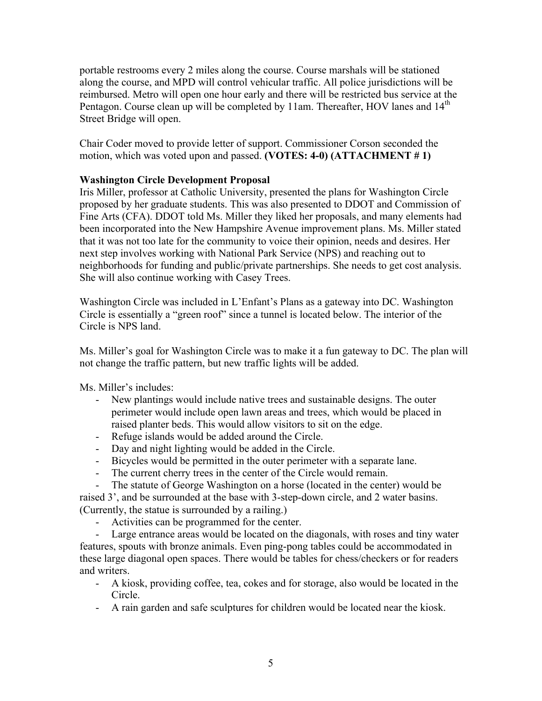portable restrooms every 2 miles along the course. Course marshals will be stationed along the course, and MPD will control vehicular traffic. All police jurisdictions will be reimbursed. Metro will open one hour early and there will be restricted bus service at the Pentagon. Course clean up will be completed by 11am. Thereafter, HOV lanes and 14<sup>th</sup> Street Bridge will open.

Chair Coder moved to provide letter of support. Commissioner Corson seconded the motion, which was voted upon and passed. **(VOTES: 4-0) (ATTACHMENT # 1)**

## **Washington Circle Development Proposal**

Iris Miller, professor at Catholic University, presented the plans for Washington Circle proposed by her graduate students. This was also presented to DDOT and Commission of Fine Arts (CFA). DDOT told Ms. Miller they liked her proposals, and many elements had been incorporated into the New Hampshire Avenue improvement plans. Ms. Miller stated that it was not too late for the community to voice their opinion, needs and desires. Her next step involves working with National Park Service (NPS) and reaching out to neighborhoods for funding and public/private partnerships. She needs to get cost analysis. She will also continue working with Casey Trees.

Washington Circle was included in L'Enfant's Plans as a gateway into DC. Washington Circle is essentially a "green roof" since a tunnel is located below. The interior of the Circle is NPS land.

Ms. Miller's goal for Washington Circle was to make it a fun gateway to DC. The plan will not change the traffic pattern, but new traffic lights will be added.

Ms. Miller's includes:

- New plantings would include native trees and sustainable designs. The outer perimeter would include open lawn areas and trees, which would be placed in raised planter beds. This would allow visitors to sit on the edge.
- Refuge islands would be added around the Circle.
- Day and night lighting would be added in the Circle.
- Bicycles would be permitted in the outer perimeter with a separate lane.
- The current cherry trees in the center of the Circle would remain.

The statute of George Washington on a horse (located in the center) would be raised 3', and be surrounded at the base with 3-step-down circle, and 2 water basins. (Currently, the statue is surrounded by a railing.)

- Activities can be programmed for the center.

- Large entrance areas would be located on the diagonals, with roses and tiny water features, spouts with bronze animals. Even ping-pong tables could be accommodated in these large diagonal open spaces. There would be tables for chess/checkers or for readers and writers.

- A kiosk, providing coffee, tea, cokes and for storage, also would be located in the Circle.
- A rain garden and safe sculptures for children would be located near the kiosk.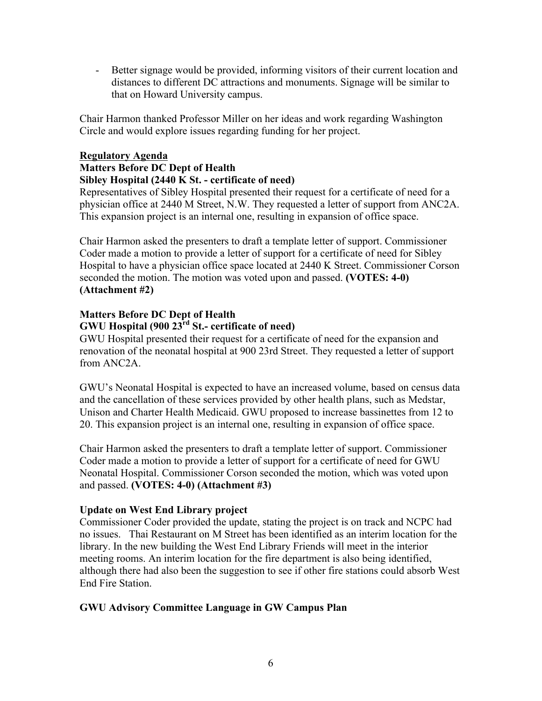- Better signage would be provided, informing visitors of their current location and distances to different DC attractions and monuments. Signage will be similar to that on Howard University campus.

Chair Harmon thanked Professor Miller on her ideas and work regarding Washington Circle and would explore issues regarding funding for her project.

# **Regulatory Agenda**

#### **Matters Before DC Dept of Health Sibley Hospital (2440 K St. - certificate of need)**

Representatives of Sibley Hospital presented their request for a certificate of need for a physician office at 2440 M Street, N.W. They requested a letter of support from ANC2A. This expansion project is an internal one, resulting in expansion of office space.

Chair Harmon asked the presenters to draft a template letter of support. Commissioner Coder made a motion to provide a letter of support for a certificate of need for Sibley Hospital to have a physician office space located at 2440 K Street. Commissioner Corson seconded the motion. The motion was voted upon and passed. **(VOTES: 4-0) (Attachment #2)**

#### **Matters Before DC Dept of Health GWU Hospital (900 23rd St.- certificate of need)**

GWU Hospital presented their request for a certificate of need for the expansion and renovation of the neonatal hospital at 900 23rd Street. They requested a letter of support from ANC2A.

GWU's Neonatal Hospital is expected to have an increased volume, based on census data and the cancellation of these services provided by other health plans, such as Medstar, Unison and Charter Health Medicaid. GWU proposed to increase bassinettes from 12 to 20. This expansion project is an internal one, resulting in expansion of office space.

Chair Harmon asked the presenters to draft a template letter of support. Commissioner Coder made a motion to provide a letter of support for a certificate of need for GWU Neonatal Hospital. Commissioner Corson seconded the motion, which was voted upon and passed. **(VOTES: 4-0) (Attachment #3)**

# **Update on West End Library project**

Commissioner Coder provided the update, stating the project is on track and NCPC had no issues. Thai Restaurant on M Street has been identified as an interim location for the library. In the new building the West End Library Friends will meet in the interior meeting rooms. An interim location for the fire department is also being identified, although there had also been the suggestion to see if other fire stations could absorb West End Fire Station.

# **GWU Advisory Committee Language in GW Campus Plan**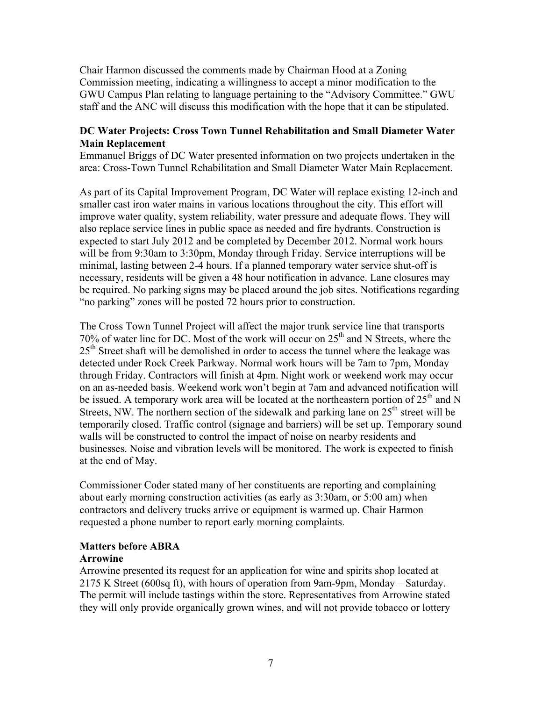Chair Harmon discussed the comments made by Chairman Hood at a Zoning Commission meeting, indicating a willingness to accept a minor modification to the GWU Campus Plan relating to language pertaining to the "Advisory Committee." GWU staff and the ANC will discuss this modification with the hope that it can be stipulated.

## **DC Water Projects: Cross Town Tunnel Rehabilitation and Small Diameter Water Main Replacement**

Emmanuel Briggs of DC Water presented information on two projects undertaken in the area: Cross-Town Tunnel Rehabilitation and Small Diameter Water Main Replacement.

As part of its Capital Improvement Program, DC Water will replace existing 12-inch and smaller cast iron water mains in various locations throughout the city. This effort will improve water quality, system reliability, water pressure and adequate flows. They will also replace service lines in public space as needed and fire hydrants. Construction is expected to start July 2012 and be completed by December 2012. Normal work hours will be from 9:30am to 3:30pm, Monday through Friday. Service interruptions will be minimal, lasting between 2-4 hours. If a planned temporary water service shut-off is necessary, residents will be given a 48 hour notification in advance. Lane closures may be required. No parking signs may be placed around the job sites. Notifications regarding "no parking" zones will be posted 72 hours prior to construction.

The Cross Town Tunnel Project will affect the major trunk service line that transports 70% of water line for DC. Most of the work will occur on  $25<sup>th</sup>$  and N Streets, where the  $25<sup>th</sup>$  Street shaft will be demolished in order to access the tunnel where the leakage was detected under Rock Creek Parkway. Normal work hours will be 7am to 7pm, Monday through Friday. Contractors will finish at 4pm. Night work or weekend work may occur on an as-needed basis. Weekend work won't begin at 7am and advanced notification will be issued. A temporary work area will be located at the northeastern portion of  $25<sup>th</sup>$  and N Streets, NW. The northern section of the sidewalk and parking lane on  $25<sup>th</sup>$  street will be temporarily closed. Traffic control (signage and barriers) will be set up. Temporary sound walls will be constructed to control the impact of noise on nearby residents and businesses. Noise and vibration levels will be monitored. The work is expected to finish at the end of May.

Commissioner Coder stated many of her constituents are reporting and complaining about early morning construction activities (as early as 3:30am, or 5:00 am) when contractors and delivery trucks arrive or equipment is warmed up. Chair Harmon requested a phone number to report early morning complaints.

## **Matters before ABRA**

#### **Arrowine**

Arrowine presented its request for an application for wine and spirits shop located at 2175 K Street (600sq ft), with hours of operation from 9am-9pm, Monday – Saturday. The permit will include tastings within the store. Representatives from Arrowine stated they will only provide organically grown wines, and will not provide tobacco or lottery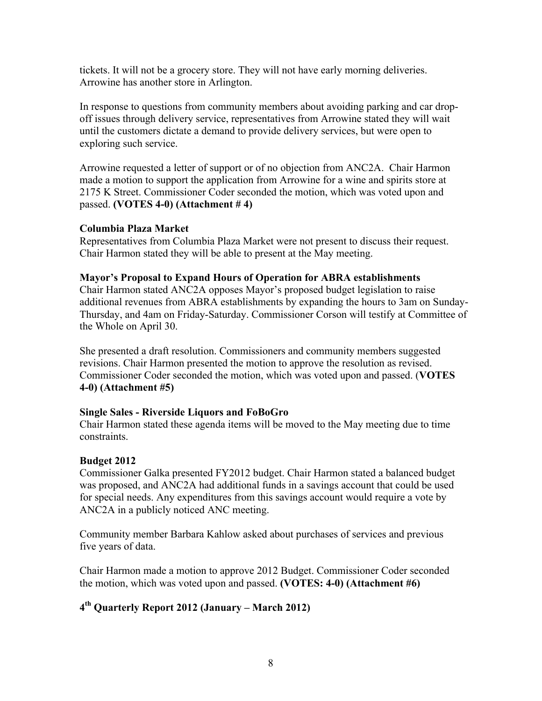tickets. It will not be a grocery store. They will not have early morning deliveries. Arrowine has another store in Arlington.

In response to questions from community members about avoiding parking and car dropoff issues through delivery service, representatives from Arrowine stated they will wait until the customers dictate a demand to provide delivery services, but were open to exploring such service.

Arrowine requested a letter of support or of no objection from ANC2A. Chair Harmon made a motion to support the application from Arrowine for a wine and spirits store at 2175 K Street. Commissioner Coder seconded the motion, which was voted upon and passed. **(VOTES 4-0) (Attachment # 4)**

## **Columbia Plaza Market**

Representatives from Columbia Plaza Market were not present to discuss their request. Chair Harmon stated they will be able to present at the May meeting.

## **Mayor's Proposal to Expand Hours of Operation for ABRA establishments**

Chair Harmon stated ANC2A opposes Mayor's proposed budget legislation to raise additional revenues from ABRA establishments by expanding the hours to 3am on Sunday-Thursday, and 4am on Friday-Saturday. Commissioner Corson will testify at Committee of the Whole on April 30.

She presented a draft resolution. Commissioners and community members suggested revisions. Chair Harmon presented the motion to approve the resolution as revised. Commissioner Coder seconded the motion, which was voted upon and passed. (**VOTES 4-0) (Attachment #5)**

#### **Single Sales - Riverside Liquors and FoBoGro**

Chair Harmon stated these agenda items will be moved to the May meeting due to time constraints.

## **Budget 2012**

Commissioner Galka presented FY2012 budget. Chair Harmon stated a balanced budget was proposed, and ANC2A had additional funds in a savings account that could be used for special needs. Any expenditures from this savings account would require a vote by ANC2A in a publicly noticed ANC meeting.

Community member Barbara Kahlow asked about purchases of services and previous five years of data.

Chair Harmon made a motion to approve 2012 Budget. Commissioner Coder seconded the motion, which was voted upon and passed. **(VOTES: 4-0) (Attachment #6)**

# **4th Quarterly Report 2012 (January – March 2012)**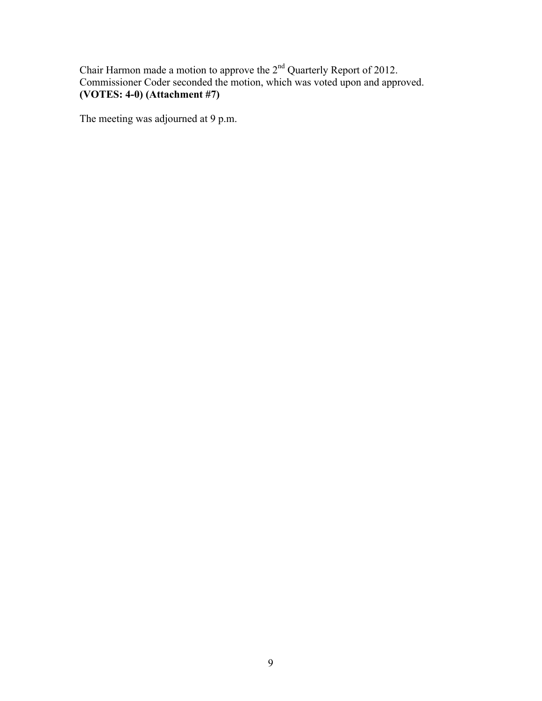Chair Harmon made a motion to approve the  $2<sup>nd</sup>$  Quarterly Report of 2012. Commissioner Coder seconded the motion, which was voted upon and approved. **(VOTES: 4-0) (Attachment #7)**

The meeting was adjourned at 9 p.m.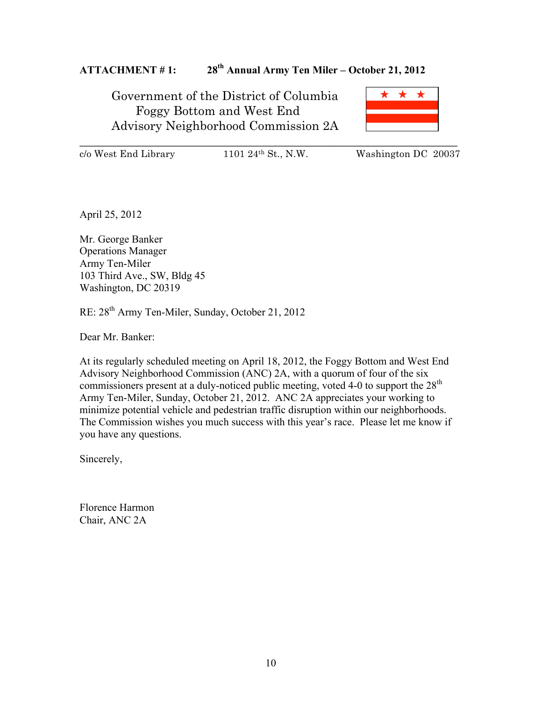# **ATTACHMENT # 1: 28th Annual Army Ten Miler – October 21, 2012**

Government of the District of Columbia Foggy Bottom and West End Advisory Neighborhood Commission 2A



\_\_\_\_\_\_\_\_\_\_\_\_\_\_\_\_\_\_\_\_\_\_\_\_\_\_\_\_\_\_\_\_\_\_\_\_\_\_\_\_\_\_\_\_\_\_\_\_\_\_\_\_\_\_\_\_\_\_\_\_\_

 $c/\text{o West End Library}$  1101 24<sup>th</sup> St., N.W. Washington DC 20037

April 25, 2012

Mr. George Banker Operations Manager Army Ten-Miler 103 Third Ave., SW, Bldg 45 Washington, DC 20319

RE: 28th Army Ten-Miler, Sunday, October 21, 2012

Dear Mr. Banker:

At its regularly scheduled meeting on April 18, 2012, the Foggy Bottom and West End Advisory Neighborhood Commission (ANC) 2A, with a quorum of four of the six commissioners present at a duly-noticed public meeting, voted 4-0 to support the 28<sup>th</sup> Army Ten-Miler, Sunday, October 21, 2012. ANC 2A appreciates your working to minimize potential vehicle and pedestrian traffic disruption within our neighborhoods. The Commission wishes you much success with this year's race. Please let me know if you have any questions.

Sincerely,

Florence Harmon Chair, ANC 2A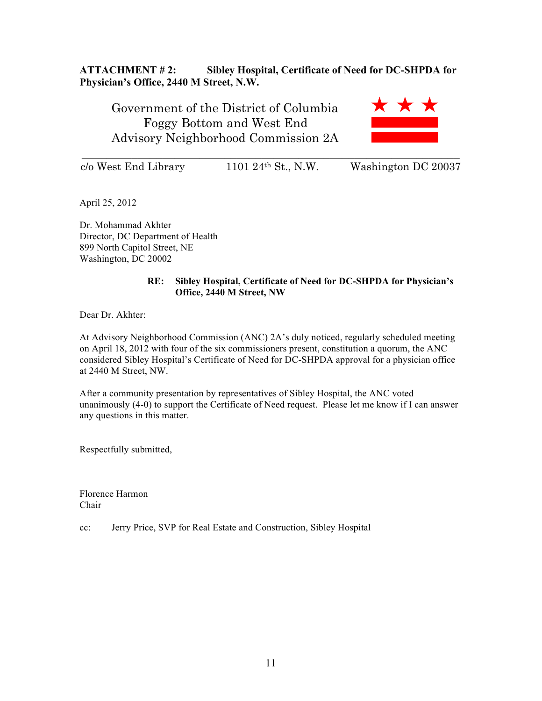## **ATTACHMENT # 2: Sibley Hospital, Certificate of Need for DC-SHPDA for Physician's Office, 2440 M Street, N.W.**

Government of the District of Columbia Foggy Bottom and West End Advisory Neighborhood Commission 2A



\_\_\_\_\_\_\_\_\_\_\_\_\_\_\_\_\_\_\_\_\_\_\_\_\_\_\_\_\_\_\_\_\_\_\_\_\_\_\_\_\_\_\_\_\_\_\_\_\_\_\_\_\_\_\_\_\_\_\_\_\_

c/o West End Library 1101 24th St., N.W. Washington DC 20037

April 25, 2012

Dr. Mohammad Akhter Director, DC Department of Health 899 North Capitol Street, NE Washington, DC 20002

#### **RE: Sibley Hospital, Certificate of Need for DC-SHPDA for Physician's Office, 2440 M Street, NW**

Dear Dr. Akhter:

At Advisory Neighborhood Commission (ANC) 2A's duly noticed, regularly scheduled meeting on April 18, 2012 with four of the six commissioners present, constitution a quorum, the ANC considered Sibley Hospital's Certificate of Need for DC-SHPDA approval for a physician office at 2440 M Street, NW.

After a community presentation by representatives of Sibley Hospital, the ANC voted unanimously (4-0) to support the Certificate of Need request. Please let me know if I can answer any questions in this matter.

Respectfully submitted,

Florence Harmon Chair

cc: Jerry Price, SVP for Real Estate and Construction, Sibley Hospital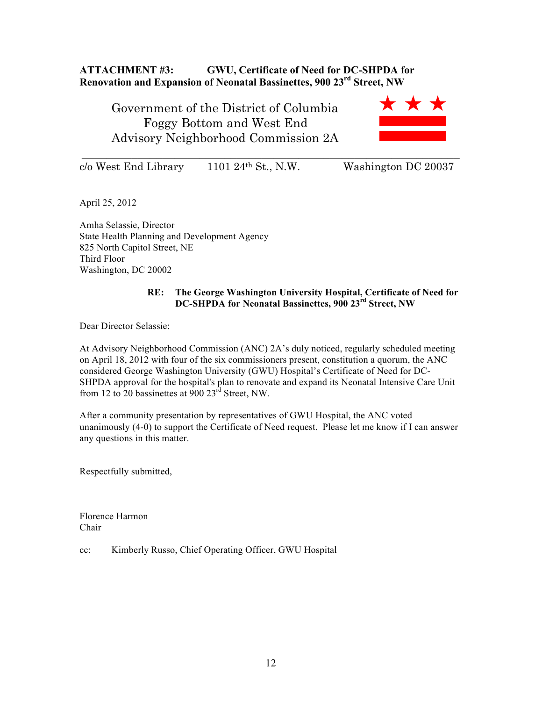# **ATTACHMENT #3: GWU, Certificate of Need for DC-SHPDA for Renovation and Expansion of Neonatal Bassinettes, 900 23rd Street, NW**

\_\_\_\_\_\_\_\_\_\_\_\_\_\_\_\_\_\_\_\_\_\_\_\_\_\_\_\_\_\_\_\_\_\_\_\_\_\_\_\_\_\_\_\_\_\_\_\_\_\_\_\_\_\_\_\_\_\_\_\_\_

Government of the District of Columbia Foggy Bottom and West End Advisory Neighborhood Commission 2A



 $c/\text{o West End Library}$  1101 24<sup>th</sup> St., N.W. Washington DC 20037

April 25, 2012

Amha Selassie, Director State Health Planning and Development Agency 825 North Capitol Street, NE Third Floor Washington, DC 20002

#### **RE: The George Washington University Hospital, Certificate of Need for DC-SHPDA for Neonatal Bassinettes, 900 23rd Street, NW**

Dear Director Selassie:

At Advisory Neighborhood Commission (ANC) 2A's duly noticed, regularly scheduled meeting on April 18, 2012 with four of the six commissioners present, constitution a quorum, the ANC considered George Washington University (GWU) Hospital's Certificate of Need for DC-SHPDA approval for the hospital's plan to renovate and expand its Neonatal Intensive Care Unit from 12 to 20 bassinettes at  $900 23^{rd}$  Street, NW.

After a community presentation by representatives of GWU Hospital, the ANC voted unanimously (4-0) to support the Certificate of Need request. Please let me know if I can answer any questions in this matter.

Respectfully submitted,

Florence Harmon Chair

cc: Kimberly Russo, Chief Operating Officer, GWU Hospital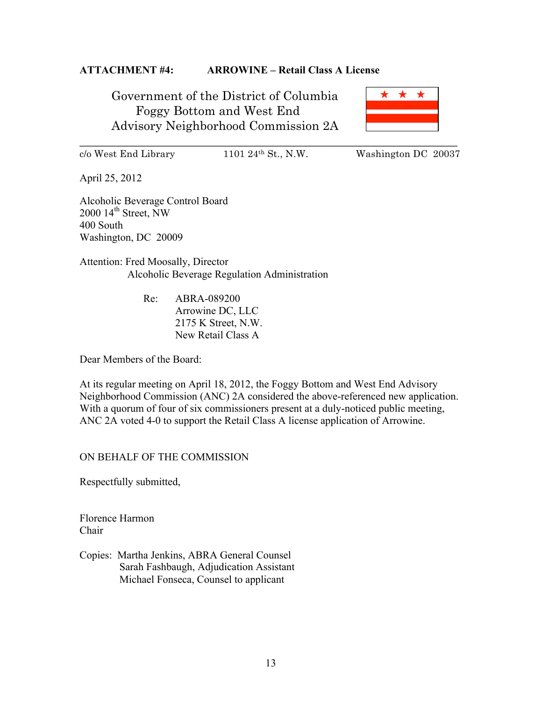## **ATTACHMENT #4: ARROWINE – Retail Class A License**

Government of the District of Columbia Foggy Bottom and West End Advisory Neighborhood Commission 2A



\_\_\_\_\_\_\_\_\_\_\_\_\_\_\_\_\_\_\_\_\_\_\_\_\_\_\_\_\_\_\_\_\_\_\_\_\_\_\_\_\_\_\_\_\_\_\_\_\_\_\_\_\_\_\_\_\_\_\_\_\_

c/o West End Library 1101 24th St., N.W. Washington DC 20037

April 25, 2012

Alcoholic Beverage Control Board  $2000$   $14^{\text{th}}$  Street, NW 400 South Washington, DC 20009

Attention: Fred Moosally, Director Alcoholic Beverage Regulation Administration

> Re: ABRA-089200 Arrowine DC, LLC 2175 K Street, N.W. New Retail Class A

Dear Members of the Board:

At its regular meeting on April 18, 2012, the Foggy Bottom and West End Advisory Neighborhood Commission (ANC) 2A considered the above-referenced new application. With a quorum of four of six commissioners present at a duly-noticed public meeting, ANC 2A voted 4-0 to support the Retail Class A license application of Arrowine.

## ON BEHALF OF THE COMMISSION

Respectfully submitted,

Florence Harmon Chair

Copies: Martha Jenkins, ABRA General Counsel Sarah Fashbaugh, Adjudication Assistant Michael Fonseca, Counsel to applicant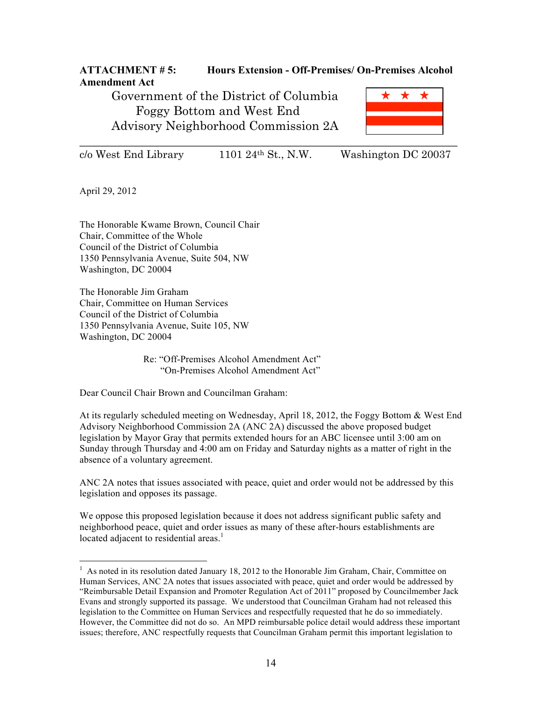# **ATTACHMENT # 5: Hours Extension - Off-Premises/ On-Premises Alcohol Amendment Act**

Government of the District of Columbia Foggy Bottom and West End Advisory Neighborhood Commission 2A



 $c/\text{o}$  West End Library 1101 24<sup>th</sup> St., N.W. Washington DC 20037

April 29, 2012

The Honorable Kwame Brown, Council Chair Chair, Committee of the Whole Council of the District of Columbia 1350 Pennsylvania Avenue, Suite 504, NW Washington, DC 20004

The Honorable Jim Graham Chair, Committee on Human Services Council of the District of Columbia 1350 Pennsylvania Avenue, Suite 105, NW Washington, DC 20004

> Re: "Off-Premises Alcohol Amendment Act" "On-Premises Alcohol Amendment Act"

Dear Council Chair Brown and Councilman Graham:

At its regularly scheduled meeting on Wednesday, April 18, 2012, the Foggy Bottom & West End Advisory Neighborhood Commission 2A (ANC 2A) discussed the above proposed budget legislation by Mayor Gray that permits extended hours for an ABC licensee until 3:00 am on Sunday through Thursday and 4:00 am on Friday and Saturday nights as a matter of right in the absence of a voluntary agreement.

ANC 2A notes that issues associated with peace, quiet and order would not be addressed by this legislation and opposes its passage.

We oppose this proposed legislation because it does not address significant public safety and neighborhood peace, quiet and order issues as many of these after-hours establishments are located adjacent to residential areas.<sup>1</sup>

 $\frac{1}{1}$ <sup>1</sup> As noted in its resolution dated January 18, 2012 to the Honorable Jim Graham, Chair, Committee on Human Services, ANC 2A notes that issues associated with peace, quiet and order would be addressed by "Reimbursable Detail Expansion and Promoter Regulation Act of 2011" proposed by Councilmember Jack Evans and strongly supported its passage. We understood that Councilman Graham had not released this legislation to the Committee on Human Services and respectfully requested that he do so immediately. However, the Committee did not do so. An MPD reimbursable police detail would address these important issues; therefore, ANC respectfully requests that Councilman Graham permit this important legislation to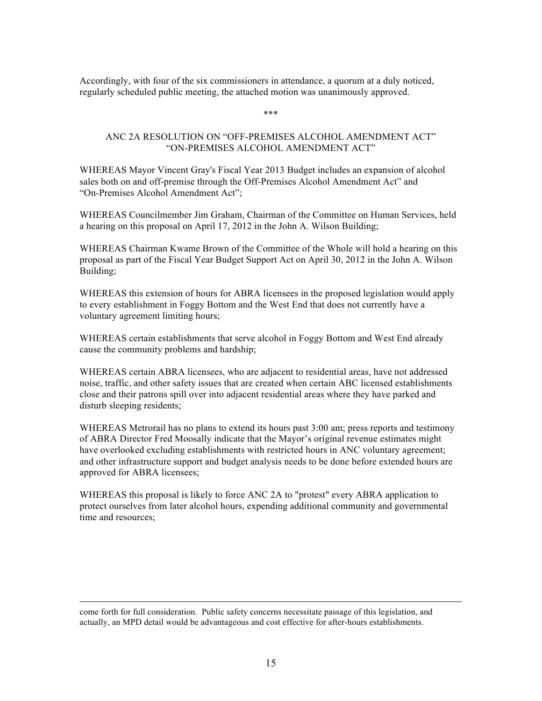Accordingly, with four of the six commissioners in attendance, a quorum at a duly noticed, regularly scheduled public meeting, the attached motion was unanimously approved.

\*\*\*

#### ANC 2A RESOLUTION ON "OFF-PREMISES ALCOHOL AMENDMENT ACT" "ON-PREMISES ALCOHOL AMENDMENT ACT"

WHEREAS Mayor Vincent Gray's Fiscal Year 2013 Budget includes an expansion of alcohol sales both on and off-premise through the Off-Premises Alcohol Amendment Act" and "On-Premises Alcohol Amendment Act";

WHEREAS Councilmember Jim Graham, Chairman of the Committee on Human Services, held a hearing on this proposal on April 17, 2012 in the John A. Wilson Building;

WHEREAS Chairman Kwame Brown of the Committee of the Whole will hold a hearing on this proposal as part of the Fiscal Year Budget Support Act on April 30, 2012 in the John A. Wilson Building;

WHEREAS this extension of hours for ABRA licensees in the proposed legislation would apply to every establishment in Foggy Bottom and the West End that does not currently have a voluntary agreement limiting hours;

WHEREAS certain establishments that serve alcohol in Foggy Bottom and West End already cause the community problems and hardship;

WHEREAS certain ABRA licensees, who are adjacent to residential areas, have not addressed noise, traffic, and other safety issues that are created when certain ABC licensed establishments close and their patrons spill over into adjacent residential areas where they have parked and disturb sleeping residents;

WHEREAS Metrorail has no plans to extend its hours past 3:00 am; press reports and testimony of ABRA Director Fred Moosally indicate that the Mayor's original revenue estimates might have overlooked excluding establishments with restricted hours in ANC voluntary agreement; and other infrastructure support and budget analysis needs to be done before extended hours are approved for ABRA licensees;

WHEREAS this proposal is likely to force ANC 2A to "protest" every ABRA application to protect ourselves from later alcohol hours, expending additional community and governmental time and resources;

come forth for full consideration. Public safety concerns necessitate passage of this legislation, and actually, an MPD detail would be advantageous and cost effective for after-hours establishments.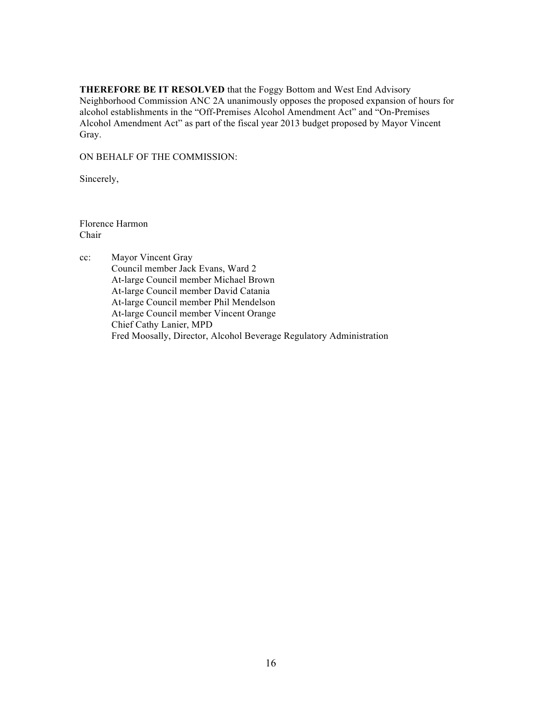**THEREFORE BE IT RESOLVED** that the Foggy Bottom and West End Advisory Neighborhood Commission ANC 2A unanimously opposes the proposed expansion of hours for alcohol establishments in the "Off-Premises Alcohol Amendment Act" and "On-Premises Alcohol Amendment Act" as part of the fiscal year 2013 budget proposed by Mayor Vincent Gray.

ON BEHALF OF THE COMMISSION:

Sincerely,

Florence Harmon Chair

cc: Mayor Vincent Gray Council member Jack Evans, Ward 2 At-large Council member Michael Brown At-large Council member David Catania At-large Council member Phil Mendelson At-large Council member Vincent Orange Chief Cathy Lanier, MPD Fred Moosally, Director, Alcohol Beverage Regulatory Administration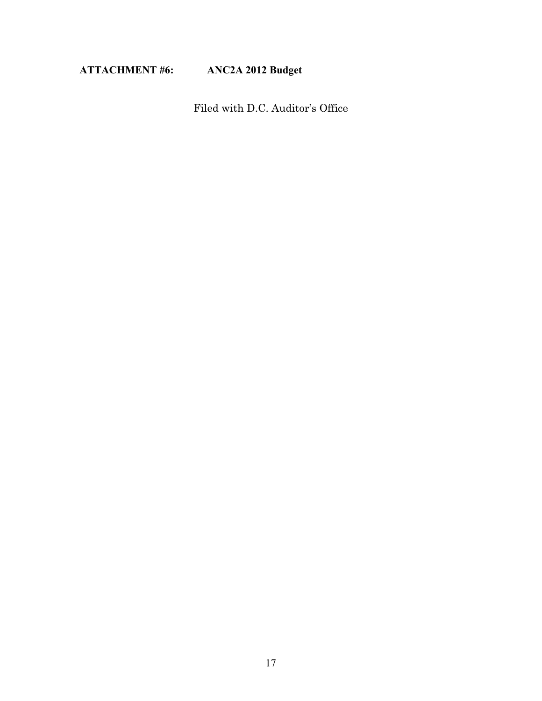# **ATTACHMENT #6: ANC2A 2012 Budget**

Filed with D.C. Auditor's Office